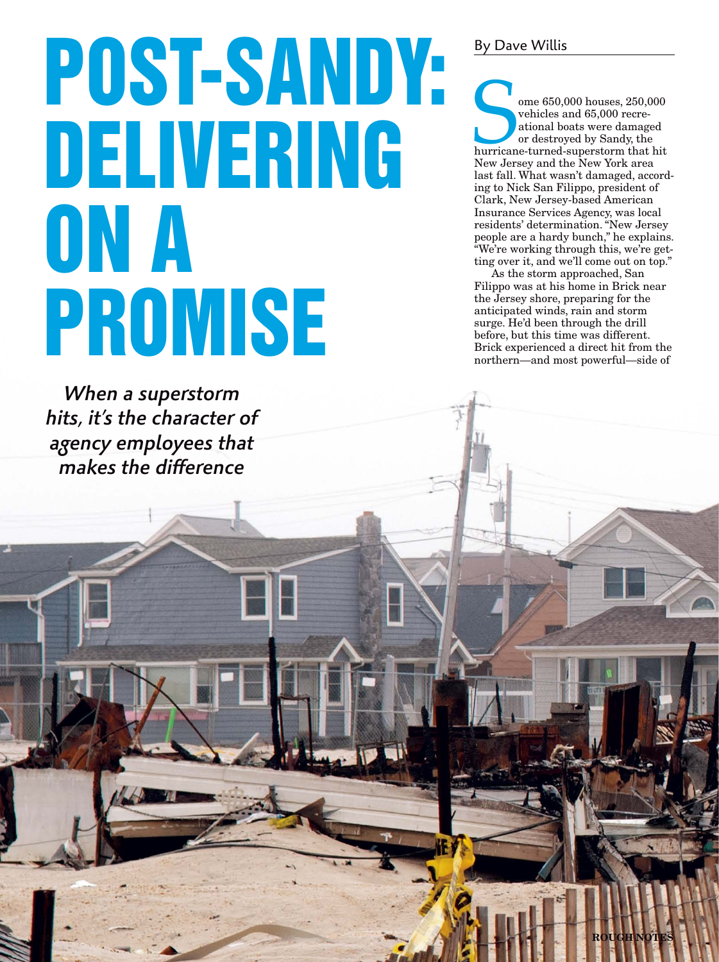# POST-SANDY: DELIVERING ON A PROMISE

When a superstorm hits, it's the character of agency employees that  $m$ akes the difference

### By Dave Willis

ome 650,000 houses, 250,000<br>
vehicles and 65,000 recreational boats were damaged<br>
or destroyed by Sandy, the<br>
hurricane-turned-superstorm that hit<br>
New Jersey and the New York area vehicles and 65,000 recreational boats were damaged or destroyed by Sandy, the hurricane-turned-superstorm that hit New Jersey and the New York area last fall. What wasn't damaged, according to Nick San Filippo, president of Clark, New Jersey-based American Insurance Services Agency, was local residents' determination. "New Jersey people are a hardy bunch," he explains. "We're working through this, we're getting over it, and we'll come out on top."

As the storm approached, San Filippo was at his home in Brick near the Jersey shore, preparing for the anticipated winds, rain and storm surge. He'd been through the drill before, but this time was different. Brick experienced a direct hit from the northern—and most powerful—side of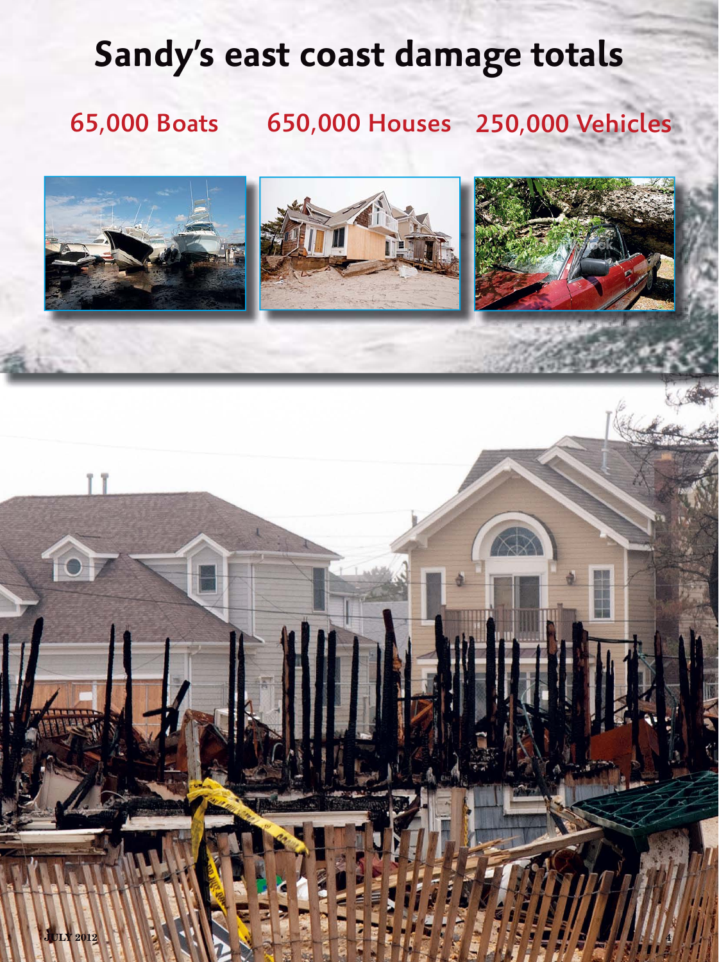## **Sandy's east coast damage totals**

### 65,000 Boats 650,000 Houses 250,000 Vehicles

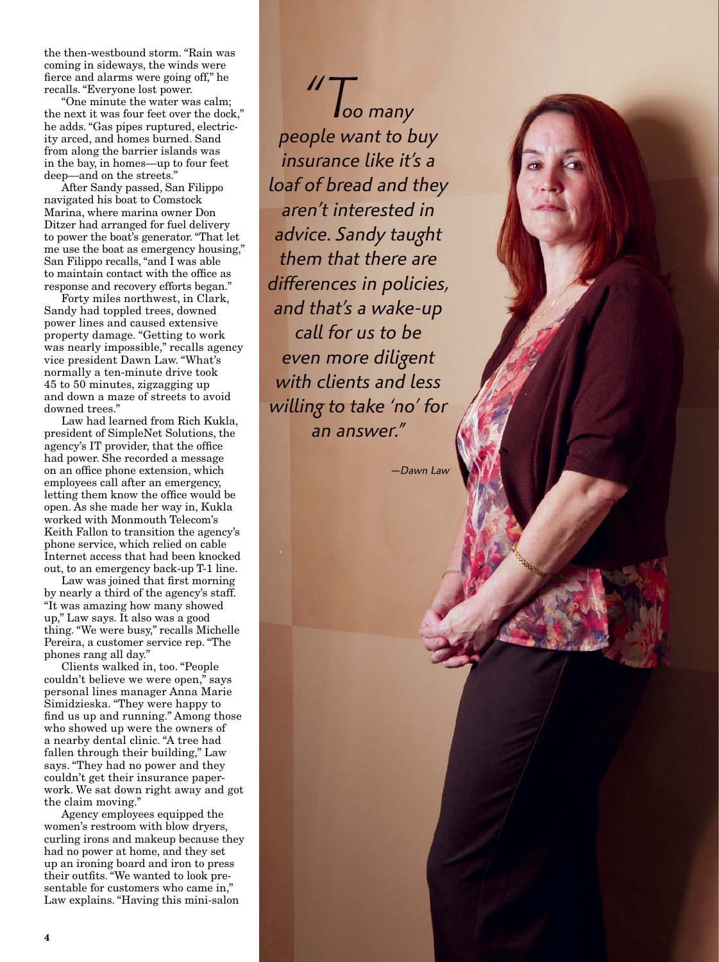the then-westbound storm. "Rain was coming in sideways, the winds were fierce and alarms were going off," he recalls. "Everyone lost power.

"One minute the water was calm; the next it was four feet over the dock," he adds. "Gas pipes ruptured, electric ity arced, and homes burned. Sand from along the barrier islands was in the bay, in homes—up to four feet deep—and on the streets."

After Sandy passed, San Filippo navigated his boat to Comstock Marina, where marina owner Don Ditzer had arranged for fuel delivery to power the boat's generator. "That let me use the boat as emergency housing," San Filippo recalls, "and I was able to maintain contact with the office as response and recovery efforts began."

Forty miles northwest, in Clark, Sandy had toppled trees, downed power lines and caused extensive property damage. "Getting to work was nearly impossible," recalls agency vice president Dawn Law. "What's normally a ten-minute drive took 45 to 50 minutes, zigzagging up and down a maze of streets to avoid downed trees."

Law had learned from Rich Kukla, president of SimpleNet Solutions, the agency's IT provider, that the office had power. She recorded a message on an office phone extension, which employees call after an emergency, letting them know the office would be open. As she made her way in, Kukla worked with Monmouth Telecom's Keith Fallon to transition the agency's phone service, which relied on cable Internet access that had been knocked out, to an emergency back-up T-1 line.

Law was joined that first morning by nearly a third of the agency's staff. "It was amazing how many showed up," Law says. It also was a good thing. "We were busy," recalls Michelle Pereira, a customer service rep. "The phones rang all day."

Clients walked in, too. "People couldn't believe we were open," says personal lines manager Anna Marie Simidzieska. "They were happy to find us up and running." Among those who showed up were the owners of a nearby dental clinic. "A tree had fallen through their building," Law says. "They had no power and they couldn't get their insurance paper work. We sat down right away and got the claim moving."

Agency employees equipped the women's restroom with blow dryers, curling irons and makeup because they had no power at home, and they set up an ironing board and iron to press their outfits. "We wanted to look pre sentable for customers who came in," Law explains. "Having this mini-salon

"T*oo many people want to buy insurance like it's a loaf of bread and they aren't interested in advice. Sandy taught them that there are*  differences in policies, *and that's a wake-up call for us to be even more diligent with clients and less willing to take 'no' for an answer."*

*—Dawn Law*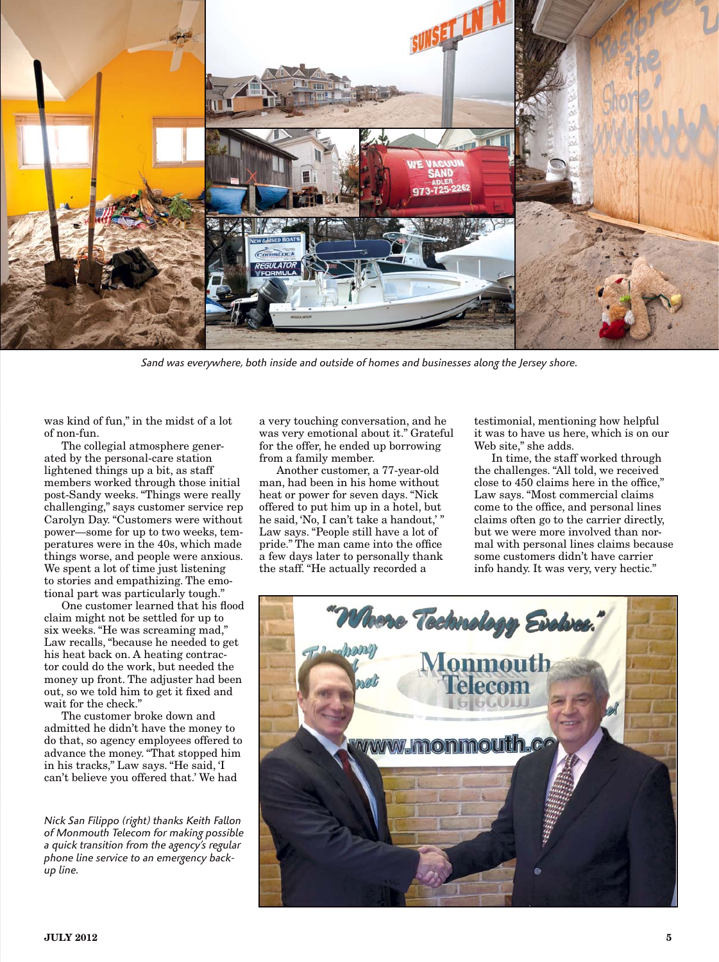

Sand was everywhere, both inside and outside of homes and businesses along the Jersey shore.

was kind of fun," in the midst of a lot of non-fun.

The collegial atmosphere generated by the personal-care station lightened things up a bit, as staff members worked through those initial post-Sandy weeks. "Things were really challenging," says customer service rep Carolyn Day. "Customers were without power—some for up to two weeks, temperatures were in the 40s, which made things worse, and people were anxious. We spent a lot of time just listening to stories and empathizing. The emotional part was particularly tough."

One customer learned that his flood claim might not be settled for up to six weeks. "He was screaming mad," Law recalls, "because he needed to get his heat back on. A heating contractor could do the work, but needed the money up front. The adjuster had been out, so we told him to get it fixed and wait for the check."

The customer broke down and admitted he didn't have the money to do that, so agency employees offered to advance the money. "That stopped him in his tracks," Law says. "He said, 'I can't believe you offered that.' We had

*Nick San Filippo (right) thanks Keith Fallon of Monmouth Telecom for making possible a quick transition from the agency's regular phone line service to an emergency backup line.*

a very touching conversation, and he was very emotional about it." Grateful for the offer, he ended up borrowing from a family member.

Another customer, a 77-year-old man, had been in his home without heat or power for seven days. "Nick offered to put him up in a hotel, but he said, 'No, I can't take a handout,' Law says. "People still have a lot of pride." The man came into the office a few days later to personally thank the staff. "He actually recorded a

testimonial, mentioning how helpful it was to have us here, which is on our Web site," she adds.

In time, the staff worked through the challenges. "All told, we received close to 450 claims here in the office," Law says. "Most commercial claims come to the office, and personal lines claims often go to the carrier directly, but we were more involved than normal with personal lines claims because some customers didn't have carrier info handy. It was very, very hectic."